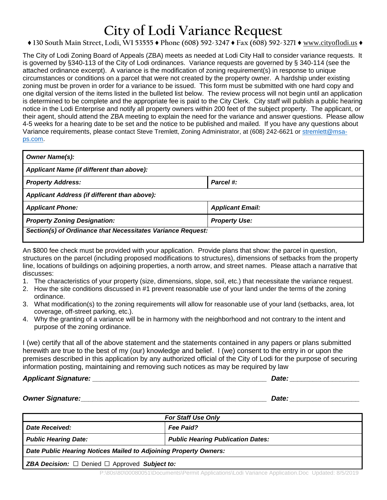## **City of Lodi Variance Request**

## **♦ 130 South Main Street, Lodi, WI 53555 ♦ Phone (608) 592-3247 ♦ Fax (608) 592-3271 ♦** www.cityoflodi.us **♦**

The City of Lodi Zoning Board of Appeals (ZBA) meets as needed at Lodi City Hall to consider variance requests. It is governed by §340-113 of the City of Lodi ordinances. Variance requests are governed by § 340-114 (see the attached ordinance excerpt). A variance is the modification of zoning requirement(s) in response to unique circumstances or conditions on a parcel that were not created by the property owner. A hardship under existing zoning must be proven in order for a variance to be issued. This form must be submitted with one hard copy and one digital version of the items listed in the bulleted list below. The review process will not begin until an application is determined to be complete and the appropriate fee is paid to the City Clerk. City staff will publish a public hearing notice in the Lodi Enterprise and notify all property owners within 200 feet of the subject property. The applicant, or their agent, should attend the ZBA meeting to explain the need for the variance and answer questions. Please allow 4-5 weeks for a hearing date to be set and the notice to be published and mailed. If you have any questions about Variance requirements, please contact Steve Tremlett, Zoning Administrator, at (608) 242-6621 or [stremlett@msa](mailto:stremlett@msa-ps.com)[ps.com.](mailto:stremlett@msa-ps.com)

| <b>Owner Name(s):</b>                                       |                         |  |
|-------------------------------------------------------------|-------------------------|--|
| Applicant Name (if different than above):                   |                         |  |
| <b>Property Address:</b>                                    | Parcel #:               |  |
| Applicant Address (if different than above):                |                         |  |
| <b>Applicant Phone:</b>                                     | <b>Applicant Email:</b> |  |
| <b>Property Zoning Designation:</b>                         | <b>Property Use:</b>    |  |
| Section(s) of Ordinance that Necessitates Variance Request: |                         |  |

An \$800 fee check must be provided with your application. Provide plans that show: the parcel in question, structures on the parcel (including proposed modifications to structures), dimensions of setbacks from the property line, locations of buildings on adjoining properties, a north arrow, and street names. Please attach a narrative that discusses:

- 1. The characteristics of your property (size, dimensions, slope, soil, etc.) that necessitate the variance request.
- 2. How the site conditions discussed in #1 prevent reasonable use of your land under the terms of the zoning ordinance.
- 3. What modification(s) to the zoning requirements will allow for reasonable use of your land (setbacks, area, lot coverage, off-street parking, etc.).
- 4. Why the granting of a variance will be in harmony with the neighborhood and not contrary to the intent and purpose of the zoning ordinance.

I (we) certify that all of the above statement and the statements contained in any papers or plans submitted herewith are true to the best of my (our) knowledge and belief. I (we) consent to the entry in or upon the premises described in this application by any authorized official of the City of Lodi for the purpose of securing information posting, maintaining and removing such notices as may be required by law

*Applicant Signature: \_\_\_\_\_\_\_\_\_\_\_\_\_\_\_\_\_\_\_\_\_\_\_\_\_\_\_\_\_\_\_\_\_\_\_\_\_\_\_\_\_\_\_\_\_ Date: \_\_\_\_\_\_\_\_\_\_\_\_\_\_\_\_\_\_*

*Owner Signature:\_\_\_\_\_\_\_\_\_\_\_\_\_\_\_\_\_\_\_\_\_\_\_\_\_\_\_\_\_\_\_\_\_\_\_\_\_\_\_\_\_\_\_\_\_\_\_\_ Date: \_\_\_\_\_\_\_\_\_\_\_\_\_\_\_\_\_\_*

| <b>For Staff Use Only</b>                                             |                                          |
|-----------------------------------------------------------------------|------------------------------------------|
|                                                                       |                                          |
| Date Received:                                                        | <b>Fee Paid?</b>                         |
| <b>Public Hearing Date:</b>                                           | <b>Public Hearing Publication Dates:</b> |
| Date Public Hearing Notices Mailed to Adjoining Property Owners:      |                                          |
| <b>ZBA Decision:</b> $\Box$ Denied $\Box$ Approved <b>Subject to:</b> |                                          |

P:\80s\80\00080051\Documents\Permit Applications\Lodi Variance Application.Doc Updated: 8/5/2019